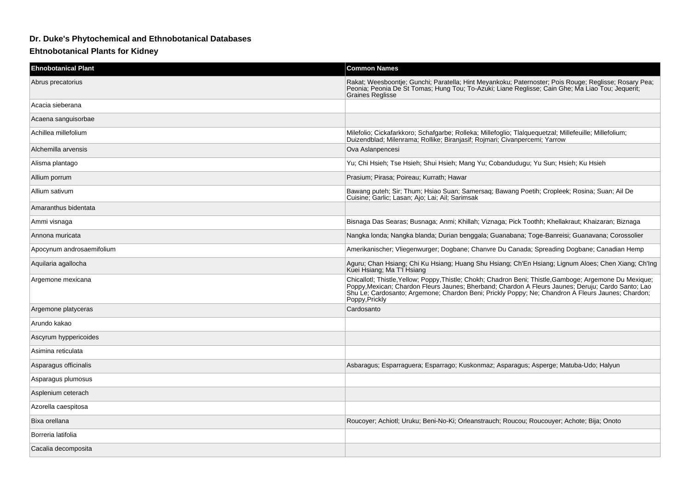## **Dr. Duke's Phytochemical and Ethnobotanical Databases**

## **Ehtnobotanical Plants for Kidney**

| <b>Ehnobotanical Plant</b> | <b>Common Names</b>                                                                                                                                                                                                                                                                                                                   |
|----------------------------|---------------------------------------------------------------------------------------------------------------------------------------------------------------------------------------------------------------------------------------------------------------------------------------------------------------------------------------|
| Abrus precatorius          | Rakat; Weesboontje; Gunchi; Paratella; Hint Meyankoku; Paternoster; Pois Rouge; Reglisse; Rosary Pea;<br>Peonia; Peonia De St Tomas; Hung Tou; To-Azuki; Liane Reglisse; Cain Ghe; Ma Liao Tou; Jequerit;<br><b>Graines Reglisse</b>                                                                                                  |
| Acacia sieberana           |                                                                                                                                                                                                                                                                                                                                       |
| Acaena sanguisorbae        |                                                                                                                                                                                                                                                                                                                                       |
| Achillea millefolium       | Milefolio; Cickafarkkoro; Schafgarbe; Rolleka; Millefoglio; Tlalquequetzal; Millefeuille; Millefolium;<br>Duizendblad, Milenrama, Rollike, Biranjasif, Rojmari, Civanpercemi, Yarrow                                                                                                                                                  |
| Alchemilla arvensis        | Ova Aslanpencesi                                                                                                                                                                                                                                                                                                                      |
| Alisma plantago            | Yu; Chi Hsieh; Tse Hsieh; Shui Hsieh; Mang Yu; Cobandudugu; Yu Sun; Hsieh; Ku Hsieh                                                                                                                                                                                                                                                   |
| Allium porrum              | Prasium; Pirasa; Poireau; Kurrath; Hawar                                                                                                                                                                                                                                                                                              |
| Allium sativum             | Bawang puteh; Sir; Thum; Hsiao Suan; Samersaq; Bawang Poetih; Cropleek; Rosina; Suan; Ail De<br>Cuisine; Garlic; Lasan; Ajo; Lai; Ail; Sarimsak                                                                                                                                                                                       |
| Amaranthus bidentata       |                                                                                                                                                                                                                                                                                                                                       |
| Ammi visnaga               | Bisnaga Das Searas; Busnaga; Anmi; Khillah; Viznaga; Pick Toothh; Khellakraut; Khaizaran; Biznaga                                                                                                                                                                                                                                     |
| Annona muricata            | Nangka londa; Nangka blanda; Durian benggala; Guanabana; Toge-Banreisi; Guanavana; Corossolier                                                                                                                                                                                                                                        |
| Apocynum androsaemifolium  | Amerikanischer: Vliegenwurger: Dogbane: Chanvre Du Canada: Spreading Dogbane: Canadian Hemp                                                                                                                                                                                                                                           |
| Aquilaria agallocha        | Aguru; Chan Hsiang; Chi Ku Hsiang; Huang Shu Hsiang; Ch'En Hsiang; Lignum Aloes; Chen Xiang; Ch'Ing<br>Kuei Hsiang; Ma T'l Hsiang                                                                                                                                                                                                     |
| Argemone mexicana          | Chicallotl; Thistle, Yellow; Poppy, Thistle; Chokh; Chadron Beni; Thistle, Gamboge; Argemone Du Mexique;<br>Poppy, Mexican; Chardon Fleurs Jaunes; Bherband; Chardon A Fleurs Jaunes; Deruju; Cardo Santo; Lao<br>Shu Le; Cardosanto; Argemone; Chardon Beni; Prickly Poppy; Ne; Chandron A Fleurs Jaunes; Chardon;<br>Poppy, Prickly |
| Argemone platyceras        | Cardosanto                                                                                                                                                                                                                                                                                                                            |
| Arundo kakao               |                                                                                                                                                                                                                                                                                                                                       |
| Ascyrum hyppericoides      |                                                                                                                                                                                                                                                                                                                                       |
| Asimina reticulata         |                                                                                                                                                                                                                                                                                                                                       |
| Asparagus officinalis      | Asbaragus; Esparraguera; Esparrago; Kuskonmaz; Asparagus; Asperge; Matuba-Udo; Halyun                                                                                                                                                                                                                                                 |
| Asparagus plumosus         |                                                                                                                                                                                                                                                                                                                                       |
| Asplenium ceterach         |                                                                                                                                                                                                                                                                                                                                       |
| Azorella caespitosa        |                                                                                                                                                                                                                                                                                                                                       |
| Bixa orellana              | Roucoyer; Achiotl; Uruku; Beni-No-Ki; Orleanstrauch; Roucou; Roucouyer; Achote; Bija; Onoto                                                                                                                                                                                                                                           |
| Borreria latifolia         |                                                                                                                                                                                                                                                                                                                                       |
| Cacalia decomposita        |                                                                                                                                                                                                                                                                                                                                       |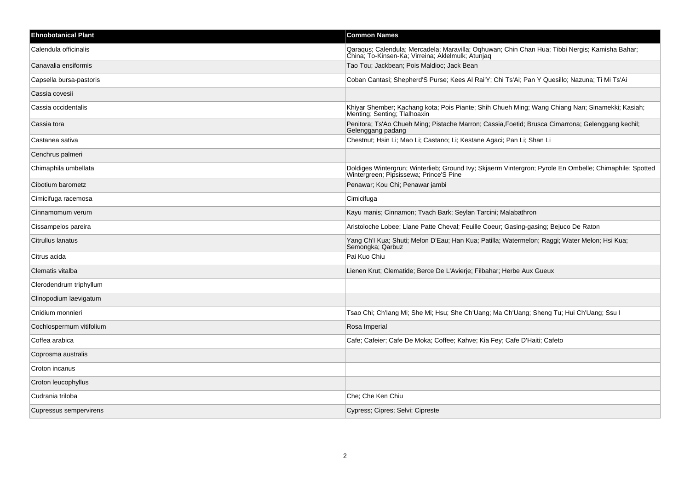| <b>Ehnobotanical Plant</b> | <b>Common Names</b>                                                                                                                                 |
|----------------------------|-----------------------------------------------------------------------------------------------------------------------------------------------------|
| Calendula officinalis      | Qaraqus; Calendula; Mercadela; Maravilla; Oqhuwan; Chin Chan Hua; Tibbi Nergis; Kamisha Bahar;<br>China; To-Kinsen-Ka; Virreina; Aklelmulk; Atunjag |
| Canavalia ensiformis       | Tao Tou; Jackbean; Pois Maldioc; Jack Bean                                                                                                          |
| Capsella bursa-pastoris    | Coban Cantasi; Shepherd'S Purse; Kees Al Rai'Y; Chi Ts'Ai; Pan Y Quesillo; Nazuna; Ti Mi Ts'Ai                                                      |
| Cassia covesii             |                                                                                                                                                     |
| Cassia occidentalis        | Khiyar Shember; Kachang kota; Pois Piante; Shih Chueh Ming; Wang Chiang Nan; Sinamekki; Kasiah;<br>Menting; Senting; Tlalhoaxin                     |
| Cassia tora                | Penitora; Ts'Ao Chueh Ming; Pistache Marron; Cassia, Foetid; Brusca Cimarrona; Gelenggang kechil;<br>Gelenggang padang                              |
| Castanea sativa            | Chestnut; Hsin Li; Mao Li; Castano; Li; Kestane Agaci; Pan Li; Shan Li                                                                              |
| Cenchrus palmeri           |                                                                                                                                                     |
| Chimaphila umbellata       | Doldiges Wintergrun; Winterlieb; Ground Ivy; Skjaerm Vintergron; Pyrole En Ombelle; Chimaphile; Spotted<br>Wintergreen; Pipsissewa; Prince'S Pine   |
| Cibotium barometz          | Penawar; Kou Chi; Penawar jambi                                                                                                                     |
| Cimicifuga racemosa        | Cimicifuga                                                                                                                                          |
| Cinnamomum verum           | Kayu manis; Cinnamon; Tvach Bark; Seylan Tarcini; Malabathron                                                                                       |
| Cissampelos pareira        | Aristoloche Lobee; Liane Patte Cheval; Feuille Coeur; Gasing-gasing; Bejuco De Raton                                                                |
| Citrullus lanatus          | Yang Ch'l Kua; Shuti; Melon D'Eau; Han Kua; Patilla; Watermelon; Raggi; Water Melon; Hsi Kua;<br>Semongka; Qarbuz                                   |
| Citrus acida               | Pai Kuo Chiu                                                                                                                                        |
| Clematis vitalba           | Lienen Krut; Clematide; Berce De L'Avierje; Filbahar; Herbe Aux Gueux                                                                               |
| Clerodendrum triphyllum    |                                                                                                                                                     |
| Clinopodium laevigatum     |                                                                                                                                                     |
| Cnidium monnieri           | Tsao Chi; Ch'lang Mi; She Mi; Hsu; She Ch'Uang; Ma Ch'Uang; Sheng Tu; Hui Ch'Uang; Ssu I                                                            |
| Cochlospermum vitifolium   | Rosa Imperial                                                                                                                                       |
| Coffea arabica             | Cafe; Cafeier; Cafe De Moka; Coffee; Kahve; Kia Fey; Cafe D'Haiti; Cafeto                                                                           |
| Coprosma australis         |                                                                                                                                                     |
| Croton incanus             |                                                                                                                                                     |
| Croton leucophyllus        |                                                                                                                                                     |
| Cudrania triloba           | Che: Che Ken Chiu                                                                                                                                   |
| Cupressus sempervirens     | Cypress; Cipres; Selvi; Cipreste                                                                                                                    |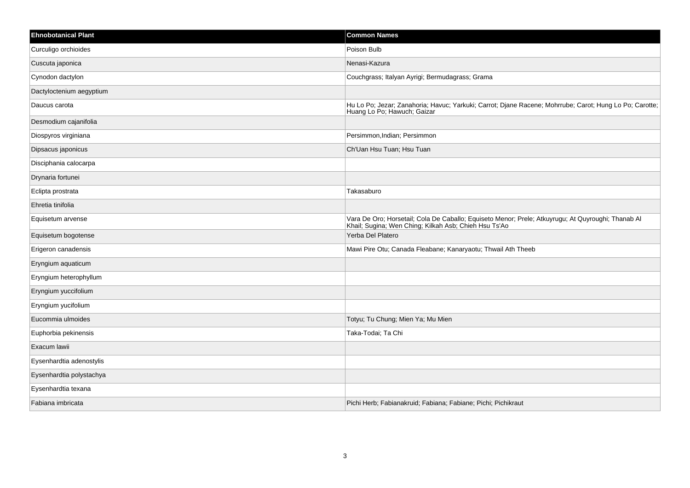| <b>Ehnobotanical Plant</b> | <b>Common Names</b>                                                                                                                                      |
|----------------------------|----------------------------------------------------------------------------------------------------------------------------------------------------------|
| Curculigo orchioides       | Poison Bulb                                                                                                                                              |
| Cuscuta japonica           | Nenasi-Kazura                                                                                                                                            |
| Cynodon dactylon           | Couchgrass; Italyan Ayrigi; Bermudagrass; Grama                                                                                                          |
| Dactyloctenium aegyptium   |                                                                                                                                                          |
| Daucus carota              | Hu Lo Po; Jezar; Zanahoria; Havuc; Yarkuki; Carrot; Djane Racene; Mohrrube; Carot; Hung Lo Po; Carotte;<br>Huang Lo Po; Hawuch; Gaizar                   |
| Desmodium cajanifolia      |                                                                                                                                                          |
| Diospyros virginiana       | Persimmon, Indian; Persimmon                                                                                                                             |
| Dipsacus japonicus         | Ch'Uan Hsu Tuan; Hsu Tuan                                                                                                                                |
| Disciphania calocarpa      |                                                                                                                                                          |
| Drynaria fortunei          |                                                                                                                                                          |
| Eclipta prostrata          | Takasaburo                                                                                                                                               |
| Ehretia tinifolia          |                                                                                                                                                          |
| Equisetum arvense          | Vara De Oro; Horsetail; Cola De Caballo; Equiseto Menor; Prele; Atkuyrugu; At Quyroughi; Thanab Al Khail; Sugina; Wen Ching; Kilkah Asb; Chieh Hsu Ts'Ao |
| Equisetum bogotense        | Yerba Del Platero                                                                                                                                        |
| Erigeron canadensis        | Mawi Pire Otu; Canada Fleabane; Kanaryaotu; Thwail Ath Theeb                                                                                             |
| Eryngium aquaticum         |                                                                                                                                                          |
| Eryngium heterophyllum     |                                                                                                                                                          |
| Eryngium yuccifolium       |                                                                                                                                                          |
| Eryngium yucifolium        |                                                                                                                                                          |
| Eucommia ulmoides          | Totyu; Tu Chung; Mien Ya; Mu Mien                                                                                                                        |
| Euphorbia pekinensis       | Taka-Todai; Ta Chi                                                                                                                                       |
| Exacum lawii               |                                                                                                                                                          |
| Eysenhardtia adenostylis   |                                                                                                                                                          |
| Eysenhardtia polystachya   |                                                                                                                                                          |
| Eysenhardtia texana        |                                                                                                                                                          |
| Fabiana imbricata          | Pichi Herb; Fabianakruid; Fabiana; Fabiane; Pichi; Pichikraut                                                                                            |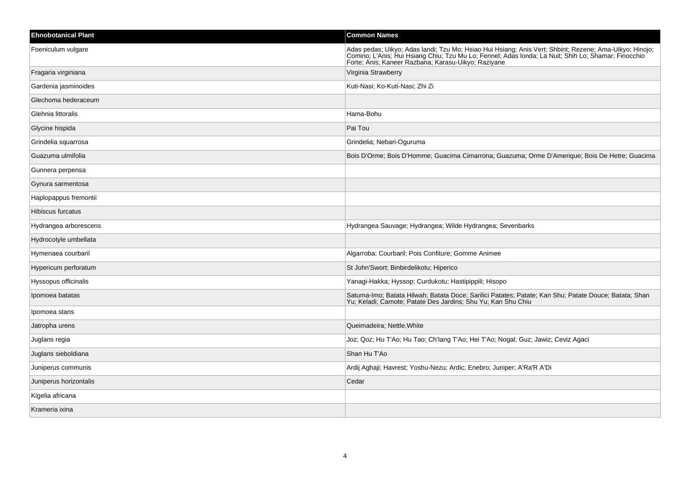| <b>Ehnobotanical Plant</b> | <b>Common Names</b>                                                                                                                                                                                                                                                  |
|----------------------------|----------------------------------------------------------------------------------------------------------------------------------------------------------------------------------------------------------------------------------------------------------------------|
| Foeniculum vulgare         | Adas pedas; Uikyo; Adas landi; Tzu Mo; Hsiao Hui Hsiang; Anis Vert; Shbint; Rezene; Ama-Uikyo; Hinojo;<br>Comino; L'Anis; Hui Hsiang Chiu; Tzu Mu Lo; Fennel; Adas londa; La Nuit; Shih Lo; Shamar; Finocchio<br>Forte; Anis; Kaneer Razbana; Karasu-Uikyo; Raziyane |
| Fragaria virginiana        | Virginia Strawberry                                                                                                                                                                                                                                                  |
| Gardenia jasminoides       | Kuti-Nasi; Ko-Kuti-Nasi; Zhi Zi                                                                                                                                                                                                                                      |
| Glechoma hederaceum        |                                                                                                                                                                                                                                                                      |
| Glehnia littoralis         | Hama-Bohu                                                                                                                                                                                                                                                            |
| Glycine hispida            | Pai Tou                                                                                                                                                                                                                                                              |
| Grindelia squarrosa        | Grindelia; Nebari-Oguruma                                                                                                                                                                                                                                            |
| Guazuma ulmifolia          | Bois D'Orme; Bois D'Homme; Guacima Cimarrona; Guazuma; Orme D'Amerique; Bois De Hetre; Guacima                                                                                                                                                                       |
| Gunnera perpensa           |                                                                                                                                                                                                                                                                      |
| Gynura sarmentosa          |                                                                                                                                                                                                                                                                      |
| Haplopappus fremontii      |                                                                                                                                                                                                                                                                      |
| Hibiscus furcatus          |                                                                                                                                                                                                                                                                      |
| Hydrangea arborescens      | Hydrangea Sauvage; Hydrangea; Wilde Hydrangea; Sevenbarks                                                                                                                                                                                                            |
| Hydrocotyle umbellata      |                                                                                                                                                                                                                                                                      |
| Hymenaea courbaril         | Algarroba; Courbaril; Pois Confiture; Gomme Animee                                                                                                                                                                                                                   |
| Hypericum perforatum       | St John'Swort; Binbirdelikotu; Hiperico                                                                                                                                                                                                                              |
| Hyssopus officinalis       | Yanagi-Hakka; Hyssop; Curdukotu; Hastipippili; Hisopo                                                                                                                                                                                                                |
| Ipomoea batatas            | Satuma-Imo; Batata Hilwah; Batata Doce; Sarilici Patates; Patate; Kan Shu; Patate Douce; Batata; Shan Yu; Keladi; Camote; Patate Des Jardins; Shu Yu; Kan Chiu                                                                                                       |
| Ipomoea stans              |                                                                                                                                                                                                                                                                      |
| Jatropha urens             | Queimadeira; Nettle, White                                                                                                                                                                                                                                           |
| Juglans regia              | Joz; Qoz; Hu T'Ao; Hu Tao; Ch'lang T'Ao; Hei T'Ao; Nogal; Guz; Jawiz; Ceviz Agaci                                                                                                                                                                                    |
| Juglans sieboldiana        | Shan Hu T'Ao                                                                                                                                                                                                                                                         |
| Juniperus communis         | Ardij Aghaji; Havrest; Yoshu-Nezu; Ardic; Enebro; Juniper; A'Ra'R A'Di                                                                                                                                                                                               |
| Juniperus horizontalis     | Cedar                                                                                                                                                                                                                                                                |
| Kigelia africana           |                                                                                                                                                                                                                                                                      |
| Krameria ixina             |                                                                                                                                                                                                                                                                      |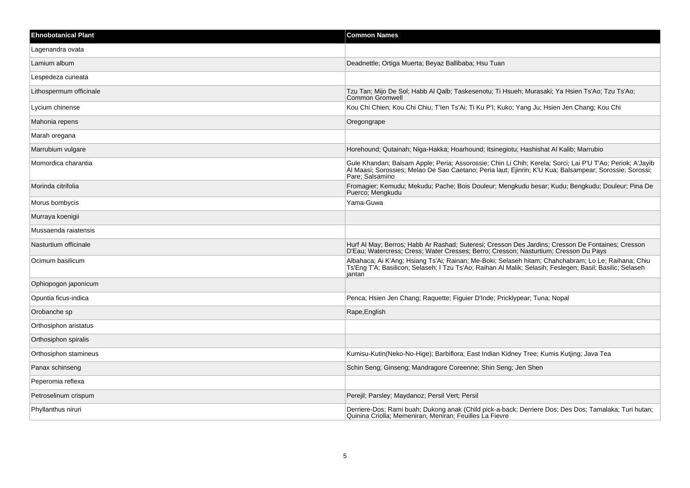| <b>Ehnobotanical Plant</b> | <b>Common Names</b>                                                                                                                                                                                                                     |
|----------------------------|-----------------------------------------------------------------------------------------------------------------------------------------------------------------------------------------------------------------------------------------|
| Lagenandra ovata           |                                                                                                                                                                                                                                         |
| Lamium album               | Deadnettle; Ortiga Muerta; Beyaz Ballibaba; Hsu Tuan                                                                                                                                                                                    |
| Lespedeza cuneata          |                                                                                                                                                                                                                                         |
| Lithospermum officinale    | Tzu Tan; Mijo De Sol; Habb Al Qalb; Taskesenotu; Ti Hsueh; Murasaki; Ya Hsien Ts'Ao; Tzu Ts'Ao;<br><b>Common Gromwell</b>                                                                                                               |
| Lycium chinense            | Kou Chi Chien; Kou Chi Chiu; T'len Ts'Ai; Ti Ku P'l; Kuko; Yang Ju; Hsien Jen Chang; Kou Chi                                                                                                                                            |
| Mahonia repens             | Oregongrape                                                                                                                                                                                                                             |
| Marah oregana              |                                                                                                                                                                                                                                         |
| Marrubium vulgare          | Horehound; Qutainah; Niga-Hakka; Hoarhound; Itsinegiotu; Hashishat Al Kalib; Marrubio                                                                                                                                                   |
| Momordica charantia        | Gule Khandan; Balsam Apple; Peria; Assorossie; Chin Li Chih; Kerela; Sorci; Lai P'U T'Ao; Periok; A'Jayib<br>Al Maasi, Sorossies, Melao De Sao Caetano, Peria laut; Ejinrin; K'U Kua; Balsampear; Sorossie; Sorossi;<br>Pare: Salsamino |
| Morinda citrifolia         | Fromagier; Kemudu; Mekudu; Pache; Bois Douleur; Mengkudu besar; Kudu; Bengkudu; Douleur; Pina De<br>Puerco: Mengkudu                                                                                                                    |
| Morus bombycis             | Yama-Guwa                                                                                                                                                                                                                               |
| Murraya koenigii           |                                                                                                                                                                                                                                         |
| Mussaenda raiatensis       |                                                                                                                                                                                                                                         |
| Nasturtium officinale      | Hurf Al May; Berros; Habb Ar Rashad; Suteresi; Cresson Des Jardins; Cresson De Fontaines; Cresson<br>D'Eau; Watercress; Cress; Water Cresses; Berro; Cresson; Nasturtium; Cresson Du Pays                                               |
| Ocimum basilicum           | Albahaca; Ai K'Ang; Hsiang Ts'Ai; Rainan; Me-Boki; Selaseh hitam; Chahchabram; Lo Le; Raihana; Chiu<br>Ts'Eng T'A; Basilicon; Selaseh; I Tzu Ts'Ao; Raihan Al Malik; Selasih; Feslegen; Basil; Basilic; Selaseh<br>iantan               |
| Ophiopogon japonicum       |                                                                                                                                                                                                                                         |
| Opuntia ficus-indica       | Penca; Hsien Jen Chang; Raquette; Figuier D'Inde; Pricklypear; Tuna; Nopal                                                                                                                                                              |
| Orobanche sp               | Rape, English                                                                                                                                                                                                                           |
| Orthosiphon aristatus      |                                                                                                                                                                                                                                         |
| Orthosiphon spiralis       |                                                                                                                                                                                                                                         |
| Orthosiphon stamineus      | Kumisu-Kutin(Neko-No-Hige); Barbiflora; East Indian Kidney Tree; Kumis Kutjing; Java Tea                                                                                                                                                |
| Panax schinseng            | Schin Seng; Ginseng; Mandragore Coreenne; Shin Seng; Jen Shen                                                                                                                                                                           |
| Peperomia reflexa          |                                                                                                                                                                                                                                         |
| Petroselinum crispum       | Perejil; Parsley; Maydanoz; Persil Vert; Persil                                                                                                                                                                                         |
| Phyllanthus niruri         | Derriere-Dos; Rami buah; Dukong anak (Child pick-a-back; Derriere Dos; Des Dos; Tamalaka; Turi hutan;<br>Quinina Criolla; Memeniran; Meniran; Feuilles La Fievre                                                                        |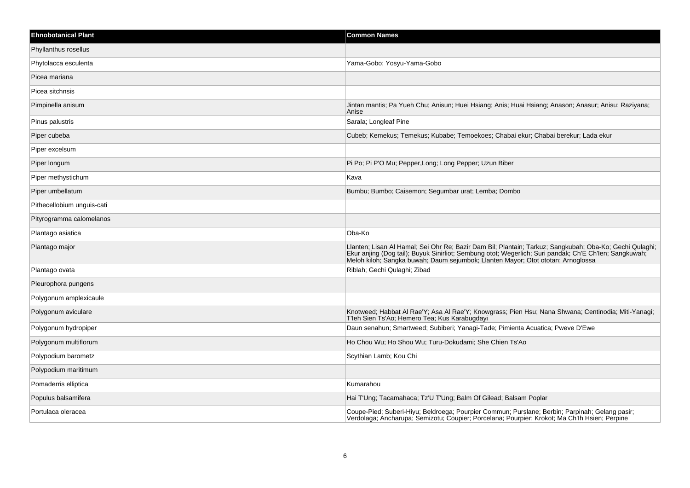| <b>Ehnobotanical Plant</b> | <b>Common Names</b>                                                                                                                                                                                                                                                                                   |
|----------------------------|-------------------------------------------------------------------------------------------------------------------------------------------------------------------------------------------------------------------------------------------------------------------------------------------------------|
| Phyllanthus rosellus       |                                                                                                                                                                                                                                                                                                       |
| Phytolacca esculenta       | Yama-Gobo; Yosyu-Yama-Gobo                                                                                                                                                                                                                                                                            |
| Picea mariana              |                                                                                                                                                                                                                                                                                                       |
| Picea sitchnsis            |                                                                                                                                                                                                                                                                                                       |
| Pimpinella anisum          | Jintan mantis; Pa Yueh Chu; Anisun; Huei Hsiang; Anis; Huai Hsiang; Anason; Anasur; Anisu; Raziyana;<br>Anise                                                                                                                                                                                         |
| Pinus palustris            | Sarala; Longleaf Pine                                                                                                                                                                                                                                                                                 |
| Piper cubeba               | Cubeb; Kemekus; Temekus; Kubabe; Temoekoes; Chabai ekur; Chabai berekur; Lada ekur                                                                                                                                                                                                                    |
| Piper excelsum             |                                                                                                                                                                                                                                                                                                       |
| Piper longum               | Pi Po; Pi P'O Mu; Pepper, Long; Long Pepper; Uzun Biber                                                                                                                                                                                                                                               |
| Piper methystichum         | Kava                                                                                                                                                                                                                                                                                                  |
| Piper umbellatum           | Bumbu; Bumbo; Caisemon; Segumbar urat; Lemba; Dombo                                                                                                                                                                                                                                                   |
| Pithecellobium unguis-cati |                                                                                                                                                                                                                                                                                                       |
| Pityrogramma calomelanos   |                                                                                                                                                                                                                                                                                                       |
| Plantago asiatica          | Oba-Ko                                                                                                                                                                                                                                                                                                |
| Plantago major             | Llanten; Lisan Al Hamal; Sei Ohr Re; Bazir Dam Bil; Plantain; Tarkuz; Sangkubah; Oba-Ko; Gechi Qulaghi;<br>Ekur anjing (Dog tail); Buyuk Sinirliot; Sembung otot; Wegerlich; Suri pandak; Ch'E Ch'len; Sangkuwah;<br>Meloh kiloh; Sangka buwah; Daum sejumbok; Llanten Mayor; Otot ototan; Arnoglossa |
| Plantago ovata             | Riblah; Gechi Qulaghi; Zibad                                                                                                                                                                                                                                                                          |
| Pleurophora pungens        |                                                                                                                                                                                                                                                                                                       |
| Polygonum amplexicaule     |                                                                                                                                                                                                                                                                                                       |
| Polygonum aviculare        | Knotweed; Habbat Al Rae'Y; Asa Al Rae'Y; Knowgrass; Pien Hsu; Nana Shwana; Centinodia; Miti-Yanagi;<br>T'leh Sien Ts'Ao; Hemero Tea; Kus Karabugdayi                                                                                                                                                  |
| Polygonum hydropiper       | Daun senahun; Smartweed; Subiberi; Yanagi-Tade; Pimienta Acuatica; Pweve D'Ewe                                                                                                                                                                                                                        |
| Polygonum multiflorum      | Ho Chou Wu; Ho Shou Wu; Turu-Dokudami; She Chien Ts'Ao                                                                                                                                                                                                                                                |
| Polypodium barometz        | Scythian Lamb; Kou Chi                                                                                                                                                                                                                                                                                |
| Polypodium maritimum       |                                                                                                                                                                                                                                                                                                       |
| Pomaderris elliptica       | Kumarahou                                                                                                                                                                                                                                                                                             |
| Populus balsamifera        | Hai T'Ung; Tacamahaca; Tz'U T'Ung; Balm Of Gilead; Balsam Poplar                                                                                                                                                                                                                                      |
| Portulaca oleracea         | Coupe-Pied; Suberi-Hiyu; Beldroega; Pourpier Commun; Purslane; Berbin; Parpinah; Gelang pasir;<br>Verdolaga; Ancharupa; Semizotu; Coupier; Porcelana; Pourpier; Krokot; Ma Ch'lh Hsien; Perpine                                                                                                       |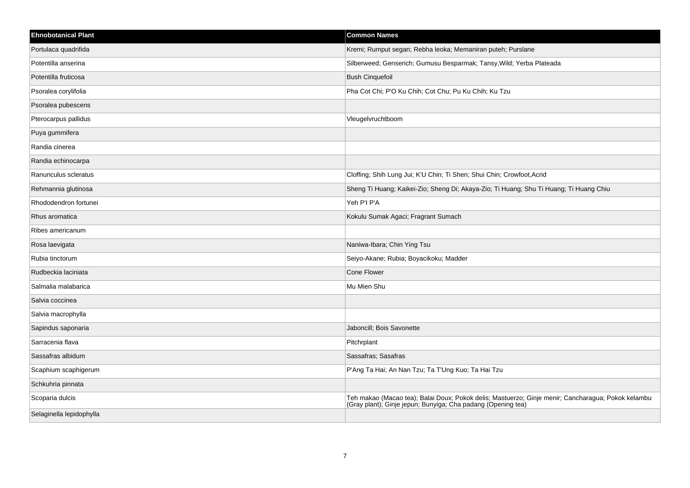| <b>Ehnobotanical Plant</b> | <b>Common Names</b>                                                                                                                                                |
|----------------------------|--------------------------------------------------------------------------------------------------------------------------------------------------------------------|
| Portulaca quadrifida       | Kremi; Rumput segan; Rebha leoka; Memaniran puteh; Purslane                                                                                                        |
| Potentilla anserina        | Silberweed; Genserich; Gumusu Besparmak; Tansy, Wild; Yerba Plateada                                                                                               |
| Potentilla fruticosa       | <b>Bush Cinquefoil</b>                                                                                                                                             |
| Psoralea corylifolia       | Pha Cot Chi; P'O Ku Chih; Cot Chu; Pu Ku Chih; Ku Tzu                                                                                                              |
| Psoralea pubescens         |                                                                                                                                                                    |
| Pterocarpus pallidus       | Vleugelvruchtboom                                                                                                                                                  |
| Puya gummifera             |                                                                                                                                                                    |
| Randia cinerea             |                                                                                                                                                                    |
| Randia echinocarpa         |                                                                                                                                                                    |
| Ranunculus scleratus       | Cloffing; Shih Lung Jui; K'U Chin; Ti Shen; Shui Chin; Crowfoot, Acrid                                                                                             |
| Rehmannia glutinosa        | Sheng Ti Huang; Kaikei-Zio; Sheng Di; Akaya-Zio; Ti Huang; Shu Ti Huang; Ti Huang Chiu                                                                             |
| Rhododendron fortunei      | Yeh P'l P'A                                                                                                                                                        |
| Rhus aromatica             | Kokulu Sumak Agaci; Fragrant Sumach                                                                                                                                |
| Ribes americanum           |                                                                                                                                                                    |
| Rosa laevigata             | Naniwa-Ibara; Chin Ying Tsu                                                                                                                                        |
| Rubia tinctorum            | Seiyo-Akane; Rubia; Boyacikoku; Madder                                                                                                                             |
| Rudbeckia laciniata        | Cone Flower                                                                                                                                                        |
| Salmalia malabarica        | Mu Mien Shu                                                                                                                                                        |
| Salvia coccinea            |                                                                                                                                                                    |
| Salvia macrophylla         |                                                                                                                                                                    |
| Sapindus saponaria         | Jaboncill; Bois Savonette                                                                                                                                          |
| Sarracenia flava           | Pitchrplant                                                                                                                                                        |
| Sassafras albidum          | Sassafras; Sasafras                                                                                                                                                |
| Scaphium scaphigerum       | P'Ang Ta Hai; An Nan Tzu; Ta T'Ung Kuo; Ta Hai Tzu                                                                                                                 |
| Schkuhria pinnata          |                                                                                                                                                                    |
| Scoparia dulcis            | Teh makao (Macao tea); Balai Doux; Pokok delis; Mastuerzo; Ginje menir; Cancharagua; Pokok kelambu<br>(Gray plant); Ginje jepun; Bunyiga; Cha padang (Opening tea) |
| Selaginella lepidophylla   |                                                                                                                                                                    |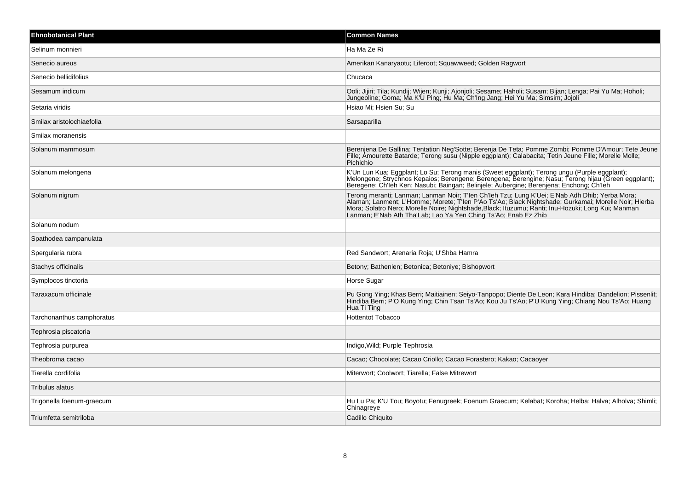| <b>Ehnobotanical Plant</b> | <b>Common Names</b>                                                                                                                                                                                                                                                                                     |
|----------------------------|---------------------------------------------------------------------------------------------------------------------------------------------------------------------------------------------------------------------------------------------------------------------------------------------------------|
| Selinum monnieri           | Ha Ma Ze Ri                                                                                                                                                                                                                                                                                             |
| Senecio aureus             | Amerikan Kanaryaotu; Liferoot; Squawweed; Golden Ragwort                                                                                                                                                                                                                                                |
| Senecio bellidifolius      | Chucaca                                                                                                                                                                                                                                                                                                 |
| Sesamum indicum            | Ooli; Jijiri; Tila; Kundij; Wijen; Kunji; Ajonjoli; Sesame; Haholi; Susam; Bijan; Lenga; Pai Yu Ma; Hoholi;<br>Jungeoline; Goma; Ma K'U Ping; Hu Ma; Ch'Ing Jang; Hei Yu Ma; Simsim; Jojoli                                                                                                             |
| Setaria viridis            | Hsiao Mi; Hsien Su; Su                                                                                                                                                                                                                                                                                  |
| Smilax aristolochiaefolia  | Sarsaparilla                                                                                                                                                                                                                                                                                            |
| Smilax moranensis          |                                                                                                                                                                                                                                                                                                         |
| Solanum mammosum           | Berenjena De Gallina; Tentation Neg'Sotte; Berenja De Teta; Pomme Zombi; Pomme D'Amour; Tete Jeune<br>Fille; Amourette Batarde; Terong susu (Nipple eggplant); Calabacita; Tetin Jeune Fille; Morelle Molle;<br>Pichichio                                                                               |
| Solanum melongena          | K'Un Lun Kua; Eggplant; Lo Su; Terong manis (Sweet eggplant); Terong ungu (Purple eggplant);<br>Melongene; Strychnos Kepaios; Berengene; Berengena; Berengine; Nasu; Terong hijau (Green eggplant);<br>Beregene; Ch'leh Ken; Nasubi; Baingan; Belinjele; Aubergine; Berenjena; Enchong; Ch'leh          |
| Solanum nigrum             | Terong meranti; Lanman; Lanman Noir; T'len Ch'leh Tzu; Lung K'Uei; E'Nab Adh Dhib; Yerba Mora;<br>Alaman; Lanment; L'Homme; Morete; T'len P'Ao Ts'Ao; Black Nightshade; Gurkamai; Morelle Noir; Hierba<br>Mora; Solatro Nero; Morell<br>Lanman; E'Nab Ath Tha'Lab; Lao Ya Yen Ching Ts'Ao; Enab Ez Zhib |
| Solanum nodum              |                                                                                                                                                                                                                                                                                                         |
| Spathodea campanulata      |                                                                                                                                                                                                                                                                                                         |
| Spergularia rubra          | Red Sandwort; Arenaria Roja; U'Shba Hamra                                                                                                                                                                                                                                                               |
| Stachys officinalis        | Betony; Bathenien; Betonica; Betoniye; Bishopwort                                                                                                                                                                                                                                                       |
| Symplocos tinctoria        | Horse Sugar                                                                                                                                                                                                                                                                                             |
| Taraxacum officinale       | Pu Gong Ying; Khas Berri; Maitiainen; Seiyo-Tanpopo; Diente De Leon; Kara Hindiba; Dandelion; Pissenlit;<br>Hindiba Berri; P'O Kung Ying; Chin Tsan Ts'Ao; Kou Ju Ts'Ao; P'U Kung Ying; Chiang Nou Ts'Ao; Huang<br>Hua Ti Ting                                                                          |
| Tarchonanthus camphoratus  | <b>Hottentot Tobacco</b>                                                                                                                                                                                                                                                                                |
| Tephrosia piscatoria       |                                                                                                                                                                                                                                                                                                         |
| Tephrosia purpurea         | Indigo, Wild; Purple Tephrosia                                                                                                                                                                                                                                                                          |
| Theobroma cacao            | Cacao; Chocolate; Cacao Criollo; Cacao Forastero; Kakao; Cacaoyer                                                                                                                                                                                                                                       |
| Tiarella cordifolia        | Miterwort; Coolwort; Tiarella; False Mitrewort                                                                                                                                                                                                                                                          |
| Tribulus alatus            |                                                                                                                                                                                                                                                                                                         |
| Trigonella foenum-graecum  | Hu Lu Pa; K'U Tou; Boyotu; Fenugreek; Foenum Graecum; Kelabat; Koroha; Helba; Halva; Alholva; Shimli;<br>Chinagreye                                                                                                                                                                                     |
| Triumfetta semitriloba     | Cadillo Chiquito                                                                                                                                                                                                                                                                                        |